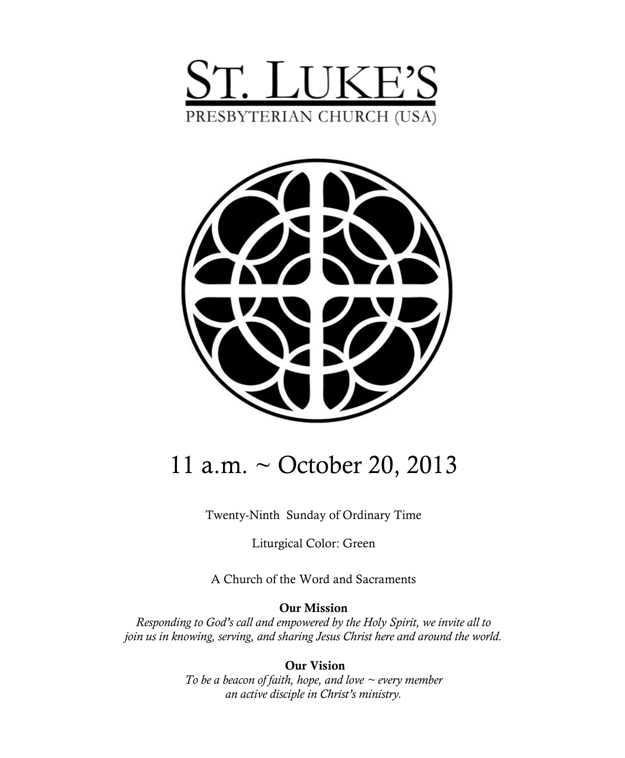



# 11 a.m. ~ October 20, 2013

Twenty-Ninth Sunday of Ordinary Time

Liturgical Color: Green

A Church of the Word and Sacraments

**Our Mission**

*Responding to God's call and empowered by the Holy Spirit, we invite all to join us in knowing, serving, and sharing Jesus Christ here and around the world.*

> **Our Vision** *To be a beacon of faith, hope, and love ~ every member an active disciple in Christ's ministry.*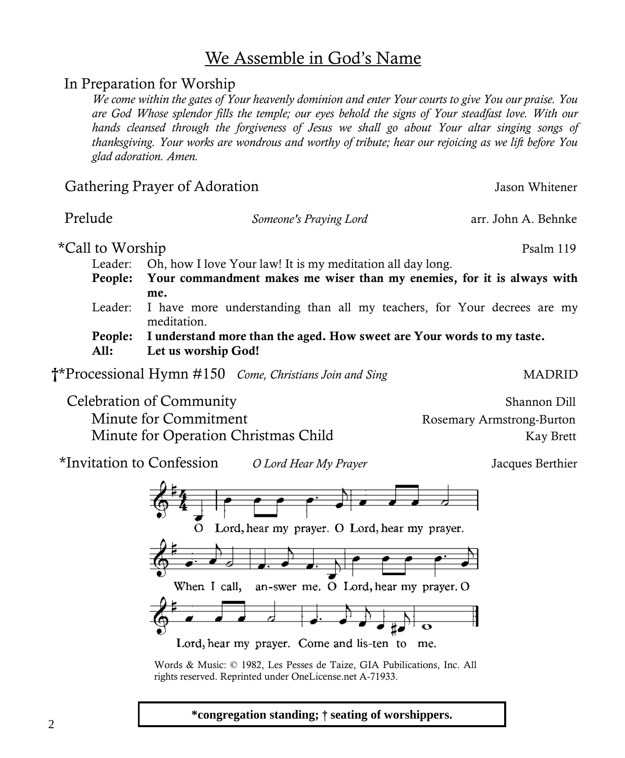# **\*congregation standing;** † **seating of worshippers.**

#### 2

### We Assemble in God's Name

#### In Preparation for Worship

*We come within the gates of Your heavenly dominion and enter Your courts to give You our praise. You are God Whose splendor fills the temple; our eyes behold the signs of Your steadfast love. With our hands cleansed through the forgiveness of Jesus we shall go about Your altar singing songs of thanksgiving. Your works are wondrous and worthy of tribute; hear our rejoicing as we lift before You glad adoration. Amen.*

### Gathering Prayer of Adoration Jason Whitener Prelude *Someone's Praying Lord* arr. John A. Behnke \*Call to Worship Psalm 119 Leader: Oh, how I love Your law! It is my meditation all day long. **People: Your commandment makes me wiser than my enemies, for it is always with me.** Leader: I have more understanding than all my teachers, for Your decrees are my meditation. **People: I understand more than the aged. How sweet are Your words to my taste. All: Let us worship God!**

**<sup>†\*</sup>Processional Hymn** #150 *Come, Christians Join and Sing* MADRID MADRID

Celebration of Community Shannon Dill Minute for Commitment The Rosemary Armstrong-Burton Minute for Operation Christmas Child Kay Brett

\*Invitation to Confession *O Lord Hear My Prayer* Jacques Berthier



Words & Music: © 1982, Les Pesses de Taize, GIA Pubilications, Inc. All rights reserved. Reprinted under OneLicense.net A-71933.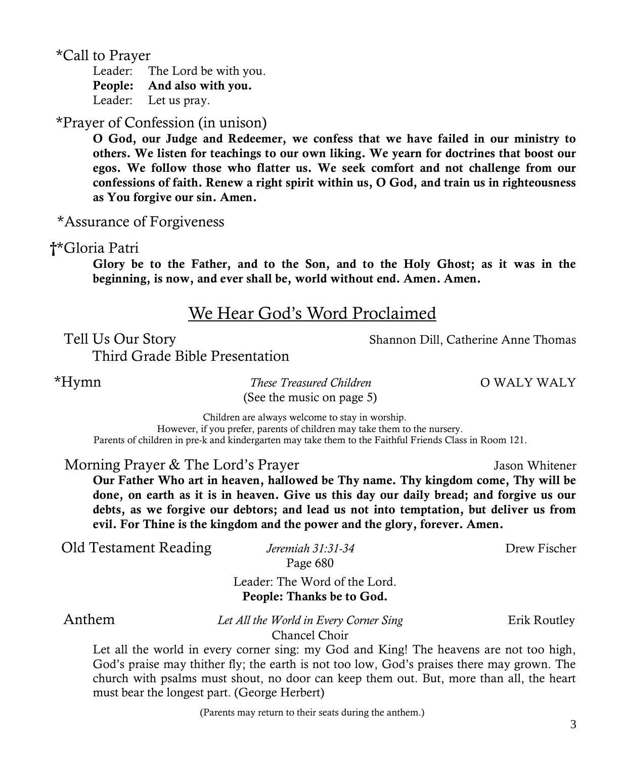\*Call to Prayer

Leader: The Lord be with you. **People: And also with you.** Leader: Let us pray.

\*Prayer of Confession (in unison)

**O God, our Judge and Redeemer, we confess that we have failed in our ministry to others. We listen for teachings to our own liking. We yearn for doctrines that boost our egos. We follow those who flatter us. We seek comfort and not challenge from our confessions of faith. Renew a right spirit within us, O God, and train us in righteousness as You forgive our sin. Amen.**

\*Assurance of Forgiveness

 **†**\*Gloria Patri

**Glory be to the Father, and to the Son, and to the Holy Ghost; as it was in the beginning, is now, and ever shall be, world without end. Amen. Amen.**

### We Hear God's Word Proclaimed

Tell Us Our Story Shannon Dill, Catherine Anne Thomas

Third Grade Bible Presentation

\*Hymn *These Treasured Children* O WALY WALY (See the music on page 5)

Children are always welcome to stay in worship.

However, if you prefer, parents of children may take them to the nursery.

Parents of children in pre-k and kindergarten may take them to the Faithful Friends Class in Room 121.

Morning Prayer & The Lord's Prayer  $\blacksquare$  Jason Whitener

**Our Father Who art in heaven, hallowed be Thy name. Thy kingdom come, Thy will be done, on earth as it is in heaven. Give us this day our daily bread; and forgive us our debts, as we forgive our debtors; and lead us not into temptation, but deliver us from evil. For Thine is the kingdom and the power and the glory, forever. Amen.**

| Old Testament Reading | Jeremiah 31:31-34<br>Page 680                              | Drew Fischer |
|-----------------------|------------------------------------------------------------|--------------|
|                       | Leader: The Word of the Lord.<br>People: Thanks be to God. |              |
| Anthem                | Let All the World in Every Corner Sing                     | Erik Routley |

Chancel Choir

Let all the world in every corner sing: my God and King! The heavens are not too high, God's praise may thither fly; the earth is not too low, God's praises there may grown. The church with psalms must shout, no door can keep them out. But, more than all, the heart must bear the longest part. (George Herbert)

(Parents may return to their seats during the anthem.)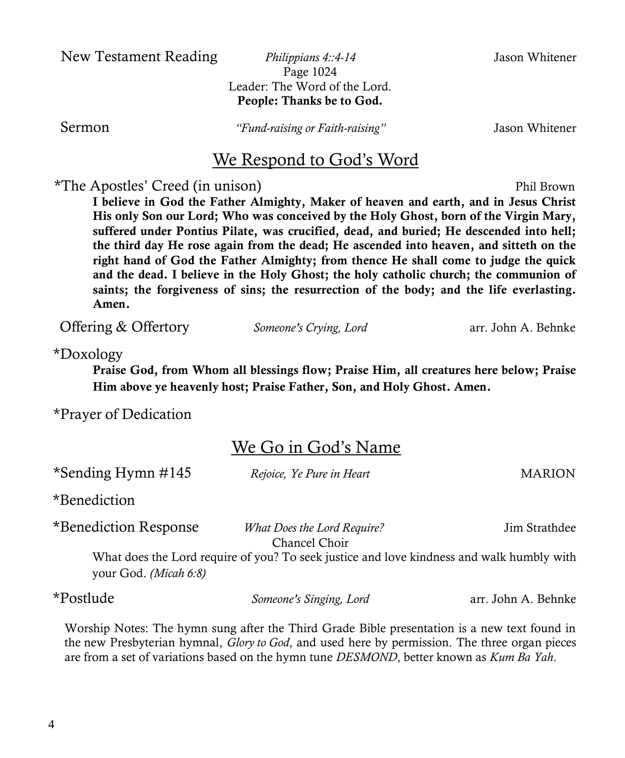New Testament Reading *Philippians 4::4-14* Jason Whitener

Page 1024 Leader: The Word of the Lord. **People: Thanks be to God.**

Sermon *"Fund-raising or Faith-raising"* Jason Whitener

### We Respond to God's Word

\*The Apostles' Creed (in unison) Phil Brown

**I believe in God the Father Almighty, Maker of heaven and earth, and in Jesus Christ His only Son our Lord; Who was conceived by the Holy Ghost, born of the Virgin Mary, suffered under Pontius Pilate, was crucified, dead, and buried; He descended into hell; the third day He rose again from the dead; He ascended into heaven, and sitteth on the right hand of God the Father Almighty; from thence He shall come to judge the quick and the dead. I believe in the Holy Ghost; the holy catholic church; the communion of saints; the forgiveness of sins; the resurrection of the body; and the life everlasting. Amen.**

Offering & Offertory *Someone's Crying, Lord* arr. John A. Behnke

\*Doxology

**Praise God, from Whom all blessings flow; Praise Him, all creatures here below; Praise Him above ye heavenly host; Praise Father, Son, and Holy Ghost. Amen.**

\*Prayer of Dedication

### We Go in God's Name

| *Sending Hymn #145                                                                                                 | Rejoice, Ye Pure in Heart                           | MARION              |  |  |
|--------------------------------------------------------------------------------------------------------------------|-----------------------------------------------------|---------------------|--|--|
| *Benediction                                                                                                       |                                                     |                     |  |  |
| *Benediction Response                                                                                              | <i>What Does the Lord Require?</i><br>Chancel Choir | Jim Strathdee       |  |  |
| What does the Lord require of you? To seek justice and love kindness and walk humbly with<br>your God. (Micah 6:8) |                                                     |                     |  |  |
| *Postlude                                                                                                          | Someone's Singing, Lord                             | arr. John A. Behnke |  |  |

Worship Notes: The hymn sung after the Third Grade Bible presentation is a new text found in the new Presbyterian hymnal, *Glory to God*, and used here by permission. The three organ pieces are from a set of variations based on the hymn tune *DESMOND*, better known as *Kum Ba Yah*.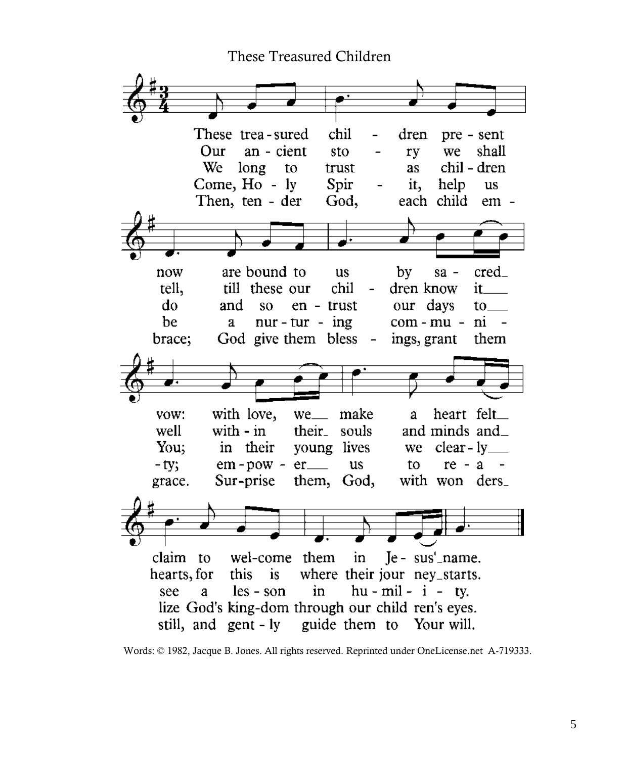

Words: © 1982, Jacque B. Jones. All rights reserved. Reprinted under OneLicense.net A-719333.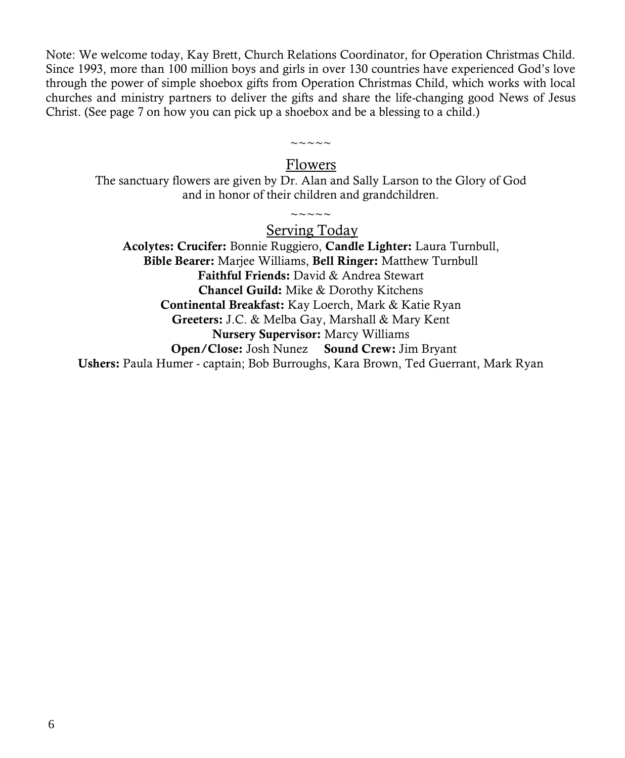Note: We welcome today, Kay Brett, Church Relations Coordinator, for Operation Christmas Child. Since 1993, more than 100 million boys and girls in over 130 countries have experienced God's love through the power of simple shoebox gifts from Operation Christmas Child, which works with local churches and ministry partners to deliver the gifts and share the life-changing good News of Jesus Christ. (See page 7 on how you can pick up a shoebox and be a blessing to a child.)

### $\sim\sim\sim\sim\sim$ Flowers

The sanctuary flowers are given by Dr. Alan and Sally Larson to the Glory of God and in honor of their children and grandchildren.

#### $\sim\sim\sim\sim\sim$ Serving Today

**Acolytes: Crucifer:** Bonnie Ruggiero, **Candle Lighter:** Laura Turnbull, **Bible Bearer:** Marjee Williams, **Bell Ringer:** Matthew Turnbull **Faithful Friends:** David & Andrea Stewart **Chancel Guild:** Mike & Dorothy Kitchens **Continental Breakfast:** Kay Loerch, Mark & Katie Ryan **Greeters:** J.C. & Melba Gay, Marshall & Mary Kent **Nursery Supervisor:** Marcy Williams **Open/Close:** Josh Nunez **Sound Crew:** Jim Bryant **Ushers:** Paula Humer - captain; Bob Burroughs, Kara Brown, Ted Guerrant, Mark Ryan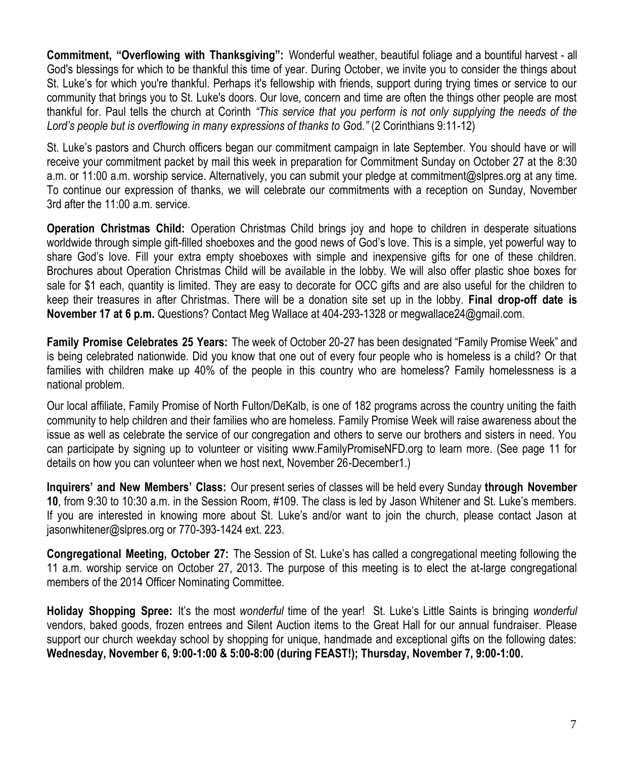**Commitment, "Overflowing with Thanksgiving":** Wonderful weather, beautiful foliage and a bountiful harvest - all God's blessings for which to be thankful this time of year. During October, we invite you to consider the things about St. Luke's for which you're thankful. Perhaps it's fellowship with friends, support during trying times or service to our community that brings you to St. Luke's doors. Our love, concern and time are often the things other people are most thankful for. Paul tells the church at Corinth *"This service that you perform is not only supplying the needs of the Lord's people but is overflowing in many expressions of thanks to Go*d*."* (2 Corinthians 9:11-12)

St. Luke's pastors and Church officers began our commitment campaign in late September. You should have or will receive your commitment packet by mail this week in preparation for Commitment Sunday on October 27 at the 8:30 a.m. or 11:00 a.m. worship service. Alternatively, you can submit your pledge at commitment@slpres.org at any time. To continue our expression of thanks, we will celebrate our commitments with a reception on Sunday, November 3rd after the 11:00 a.m. service.

**Operation Christmas Child:** Operation Christmas Child brings joy and hope to children in desperate situations worldwide through simple gift-filled shoeboxes and the good news of God's love. This is a simple, yet powerful way to share God's love. Fill your extra empty shoeboxes with simple and inexpensive gifts for one of these children. Brochures about Operation Christmas Child will be available in the lobby. We will also offer plastic shoe boxes for sale for \$1 each, quantity is limited. They are easy to decorate for OCC gifts and are also useful for the children to keep their treasures in after Christmas. There will be a donation site set up in the lobby. **Final drop-off date is November 17 at 6 p.m.** Questions? Contact Meg Wallace at 404-293-1328 or megwallace24@gmail.com.

**Family Promise Celebrates 25 Years:** The week of October 20-27 has been designated "Family Promise Week" and is being celebrated nationwide. Did you know that one out of every four people who is homeless is a child? Or that families with children make up 40% of the people in this country who are homeless? Family homelessness is a national problem.

Our local affiliate, Family Promise of North Fulton/DeKalb, is one of 182 programs across the country uniting the faith community to help children and their families who are homeless. Family Promise Week will raise awareness about the issue as well as celebrate the service of our congregation and others to serve our brothers and sisters in need. You can participate by signing up to volunteer or visiting www.FamilyPromiseNFD.org to learn more. (See page 11 for details on how you can volunteer when we host next, November 26-December1.)

**Inquirers' and New Members' Class:** Our present series of classes will be held every Sunday **through November 10**, from 9:30 to 10:30 a.m. in the Session Room, #109. The class is led by Jason Whitener and St. Luke's members. If you are interested in knowing more about St. Luke's and/or want to join the church, please contact Jason at jasonwhitener@slpres.org or 770-393-1424 ext. 223.

**Congregational Meeting, October 27:** The Session of St. Luke's has called a congregational meeting following the 11 a.m. worship service on October 27, 2013. The purpose of this meeting is to elect the at-large congregational members of the 2014 Officer Nominating Committee.

**Holiday Shopping Spree:** It's the most *wonderful* time of the year! St. Luke's Little Saints is bringing *wonderful* vendors, baked goods, frozen entrees and Silent Auction items to the Great Hall for our annual fundraiser. Please support our church weekday school by shopping for unique, handmade and exceptional gifts on the following dates: **Wednesday, November 6, 9:00-1:00 & 5:00-8:00 (during FEAST!); Thursday, November 7, 9:00-1:00.**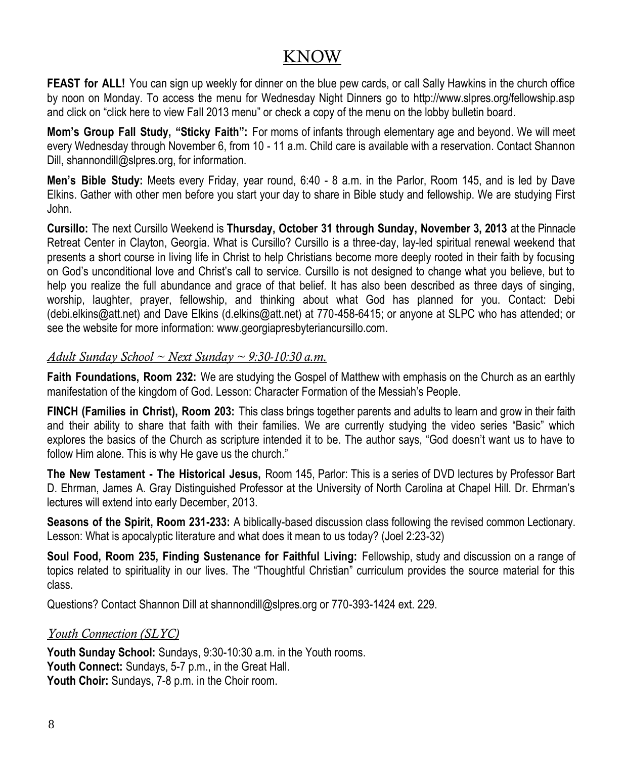### KNOW

**FEAST for ALL!** You can sign up weekly for dinner on the blue pew cards, or call Sally Hawkins in the church office by noon on Monday. To access the menu for Wednesday Night Dinners go to http://www.slpres.org/fellowship.asp and click on "click here to view Fall 2013 menu" or check a copy of the menu on the lobby bulletin board.

**Mom's Group Fall Study, "Sticky Faith":** For moms of infants through elementary age and beyond. We will meet every Wednesday through November 6, from 10 - 11 a.m. Child care is available with a reservation. Contact Shannon Dill, shannondill@slpres.org, for information.

**Men's Bible Study:** Meets every Friday, year round, 6:40 - 8 a.m. in the Parlor, Room 145, and is led by Dave Elkins. Gather with other men before you start your day to share in Bible study and fellowship. We are studying First John.

**Cursillo:** The next Cursillo Weekend is **Thursday, October 31 through Sunday, November 3, 2013** at the Pinnacle Retreat Center in Clayton, Georgia. What is Cursillo? Cursillo is a three-day, lay-led spiritual renewal weekend that presents a short course in living life in Christ to help Christians become more deeply rooted in their faith by focusing on God's unconditional love and Christ's call to service. Cursillo is not designed to change what you believe, but to help you realize the full abundance and grace of that belief. It has also been described as three days of singing, worship, laughter, prayer, fellowship, and thinking about what God has planned for you. Contact: Debi ([debi.elkins@att.net\)](mailto:debi.elkins@att.net) and Dave Elkins ([d.elkins@att.net\)](mailto:d.elkins@att.net) at 770-458-6415; or anyone at SLPC who has attended; or see the website for more information: [www.](http://www.signupgenius.com/go/805084CAFAF28A75-slpc3)georgiapresbyteriancursillo.com.

#### *Adult Sunday School ~ Next Sunday ~ 9:30-10:30 a.m.*

**Faith Foundations, Room 232:** We are studying the Gospel of Matthew with emphasis on the Church as an earthly manifestation of the kingdom of God. Lesson: Character Formation of the Messiah's People.

**FINCH (Families in Christ), Room 203:** This class brings together parents and adults to learn and grow in their faith and their ability to share that faith with their families. We are currently studying the video series "Basic" which explores the basics of the Church as scripture intended it to be. The author says, "God doesn't want us to have to follow Him alone. This is why He gave us the church."

**The New Testament - The Historical Jesus,** Room 145, Parlor: This is a series of DVD lectures by Professor Bart D. Ehrman, James A. Gray Distinguished Professor at the University of North Carolina at Chapel Hill. Dr. Ehrman's lectures will extend into early December, 2013.

**Seasons of the Spirit, Room 231-233:** A biblically-based discussion class following the revised common Lectionary. Lesson: What is apocalyptic literature and what does it mean to us today? (Joel 2:23-32)

**Soul Food, Room 235, Finding Sustenance for Faithful Living:** Fellowship, study and discussion on a range of topics related to spirituality in our lives. The "Thoughtful Christian" curriculum provides the source material for this class.

Questions? Contact Shannon Dill at shannondill@slpres.org or 770-393-1424 ext. 229.

#### *Youth Connection (SLYC)*

**Youth Sunday School:** Sundays, 9:30-10:30 a.m. in the Youth rooms. **Youth Connect:** Sundays, 5-7 p.m., in the Great Hall. **Youth Choir:** Sundays, 7-8 p.m. in the Choir room.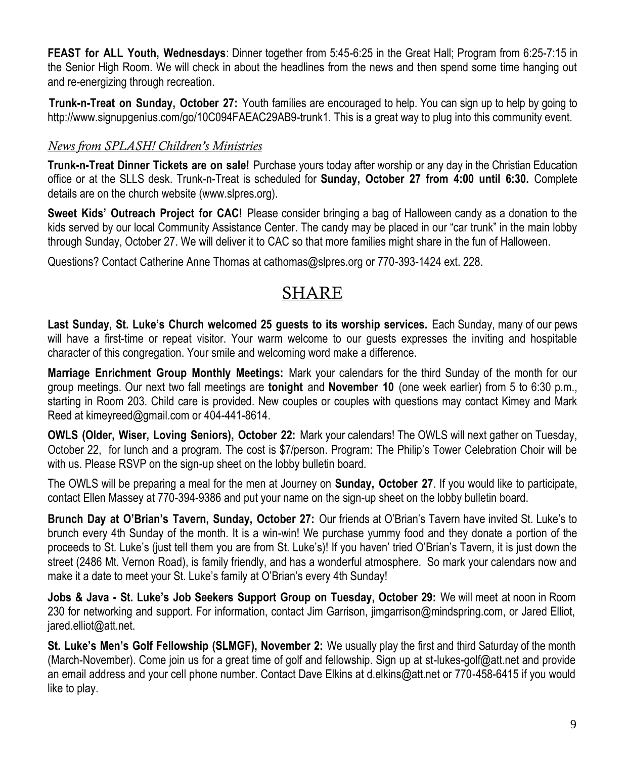**FEAST for ALL Youth, Wednesdays**: Dinner together from 5:45-6:25 in the Great Hall; Program from 6:25-7:15 in the Senior High Room. We will check in about the headlines from the news and then spend some time hanging out and re-energizing through recreation.

**Trunk-n-Treat on Sunday, October 27:** Youth families are encouraged to help. You can sign up to help by going to http://www.signupgenius.com/go/10C094FAEAC29AB9-trunk1. This is a great way to plug into this community event.

#### *News from SPLASH! Children's Ministries*

**Trunk-n-Treat Dinner Tickets are on sale!** Purchase yours today after worship or any day in the Christian Education office or at the SLLS desk. Trunk-n-Treat is scheduled for **Sunday, October 27 from 4:00 until 6:30.** Complete details are on the church website (www.slpres.org).

**Sweet Kids' Outreach Project for CAC!** Please consider bringing a bag of Halloween candy as a donation to the kids served by our local Community Assistance Center. The candy may be placed in our "car trunk" in the main lobby through Sunday, October 27. We will deliver it to CAC so that more families might share in the fun of Halloween.

Questions? Contact Catherine Anne Thomas at cathomas@slpres.org or 770-393-1424 ext. 228.

### SHARE

**Last Sunday, St. Luke's Church welcomed 25 guests to its worship services.** Each Sunday, many of our pews will have a first-time or repeat visitor. Your warm welcome to our guests expresses the inviting and hospitable character of this congregation. Your smile and welcoming word make a difference.

**Marriage Enrichment Group Monthly Meetings:** Mark your calendars for the third Sunday of the month for our group meetings. Our next two fall meetings are **tonight** and **November 10** (one week earlier) from 5 to 6:30 p.m., starting in Room 203. Child care is provided. New couples or couples with questions may contact Kimey and Mark Reed at kimeyreed@gmail.com or 404-441-8614.

**OWLS (Older, Wiser, Loving Seniors), October 22:** Mark your calendars! The OWLS will next gather on Tuesday, October 22, for lunch and a program. The cost is \$7/person. Program: The Philip's Tower Celebration Choir will be with us. Please RSVP on the sign-up sheet on the lobby bulletin board.

The OWLS will be preparing a meal for the men at Journey on **Sunday, October 27**. If you would like to participate, contact Ellen Massey at 770-394-9386 and put your name on the sign-up sheet on the lobby bulletin board.

**Brunch Day at O'Brian's Tavern, Sunday, October 27:** Our friends at O'Brian's Tavern have invited St. Luke's to brunch every 4th Sunday of the month. It is a win-win! We purchase yummy food and they donate a portion of the proceeds to St. Luke's (just tell them you are from St. Luke's)! If you haven' tried O'Brian's Tavern, it is just down the street (2486 Mt. Vernon Road), is family friendly, and has a wonderful atmosphere. So mark your calendars now and make it a date to meet your St. Luke's family at O'Brian's every 4th Sunday!

**Jobs & Java - St. Luke's Job Seekers Support Group on Tuesday, October 29:** We will meet at noon in Room 230 for networking and support. For information, contact Jim Garrison, jimgarrison@mindspring.com, or Jared Elliot, jared.elliot@att.net.

**St. Luke's Men's Golf Fellowship (SLMGF), November 2:** We usually play the first and third Saturday of the month (March-November). Come join us for a great time of golf and fellowship. Sign up at st-lukes-golf@att.net and provide an email address and your cell phone number. Contact Dave Elkins at d.elkins@att.net or 770-458-6415 if you would like to play.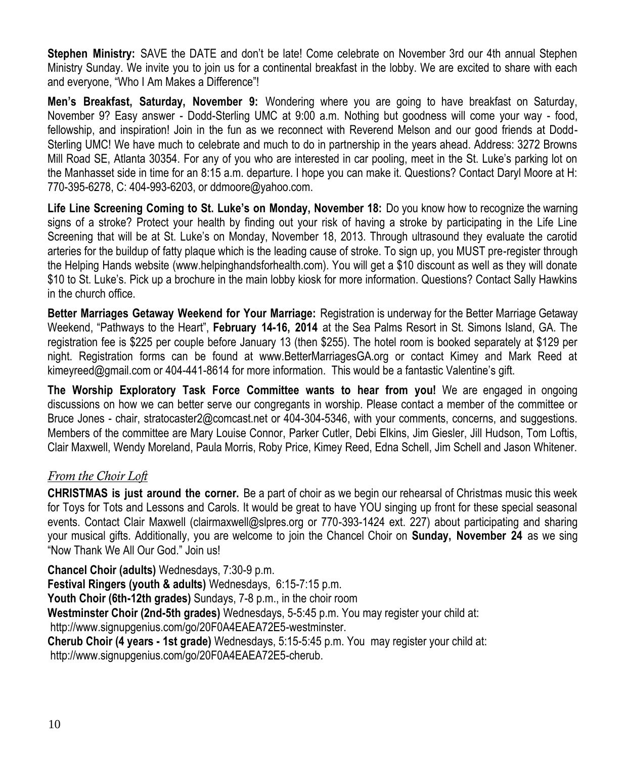**Stephen Ministry:** SAVE the DATE and don't be late! Come celebrate on November 3rd our 4th annual Stephen Ministry Sunday. We invite you to join us for a continental breakfast in the lobby. We are excited to share with each and everyone, "Who I Am Makes a Difference"!

**Men's Breakfast, Saturday, November 9:** Wondering where you are going to have breakfast on Saturday, November 9? Easy answer - Dodd-Sterling UMC at 9:00 a.m. Nothing but goodness will come your way - food, fellowship, and inspiration! Join in the fun as we reconnect with Reverend Melson and our good friends at Dodd-Sterling UMC! We have much to celebrate and much to do in partnership in the years ahead. Address: 3272 Browns Mill Road SE, Atlanta 30354. For any of you who are interested in car pooling, meet in the St. Luke's parking lot on the Manhasset side in time for an 8:15 a.m. departure. I hope you can make it. Questions? Contact Daryl Moore at H: 770-395-6278, C: 404-993-6203, or ddmoore@yahoo.com.

**Life Line Screening Coming to St. Luke's on Monday, November 18:** Do you know how to recognize the warning signs of a stroke? Protect your health by finding out your risk of having a stroke by participating in the Life Line Screening that will be at St. Luke's on Monday, November 18, 2013. Through ultrasound they evaluate the carotid arteries for the buildup of fatty plaque which is the leading cause of stroke. To sign up, you MUST pre-register through the Helping Hands website (www.helpinghandsforhealth.com). You will get a \$10 discount as well as they will donate \$10 to St. Luke's. Pick up a brochure in the main lobby kiosk for more information. Questions? Contact Sally Hawkins in the church office.

**Better Marriages Getaway Weekend for Your Marriage:** Registration is underway for the Better Marriage Getaway Weekend, "Pathways to the Heart", **February 14-16, 2014** at the Sea Palms Resort in St. Simons Island, GA. The registration fee is \$225 per couple before January 13 (then \$255). The hotel room is booked separately at \$129 per night. Registration forms can be found at www.BetterMarriagesGA.org or contact Kimey and Mark Reed at kimeyreed@gmail.com or 404-441-8614 for more information. This would be a fantastic Valentine's gift.

**The Worship Exploratory Task Force Committee wants to hear from you!** We are engaged in ongoing discussions on how we can better serve our congregants in worship. Please contact a member of the committee or Bruce Jones - chair, [stratocaster2@comcast.net o](mailto:stratocaster2@comcast.net)r 404-304-5346, with your comments, concerns, and suggestions. Members of the committee are Mary Louise Connor, Parker Cutler, Debi Elkins, Jim Giesler, Jill Hudson, Tom Loftis, Clair Maxwell, Wendy Moreland, Paula Morris, Roby Price, Kimey Reed, Edna Schell, Jim Schell and Jason Whitener.

#### *From the Choir Loft*

**CHRISTMAS is just around the corner.** Be a part of choir as we begin our rehearsal of Christmas music this week for Toys for Tots and Lessons and Carols. It would be great to have YOU singing up front for these special seasonal events. Contact Clair Maxwell (clairmaxwell@slpres.org or 770-393-1424 ext. 227) about participating and sharing your musical gifts. Additionally, you are welcome to join the Chancel Choir on **Sunday, November 24** as we sing "Now Thank We All Our God." Join us!

**Chancel Choir (adults)** Wednesdays, 7:30-9 p.m.

**Festival Ringers (youth & adults)** Wednesdays, 6:15-7:15 p.m.

**Youth Choir (6th-12th grades)** Sundays, 7-8 p.m., in the choir room

**Westminster Choir (2nd-5th grades)** Wednesdays, 5-5:45 p.m. You may register your child at:

http://www.signupgenius.com/go/20F0A4EAEA72E5-westminster.

**Cherub Choir (4 years - 1st grade)** Wednesdays, 5:15-5:45 p.m. You may register your child at: http://www.signupgenius.com/go/20F0A4EAEA72E5-cherub.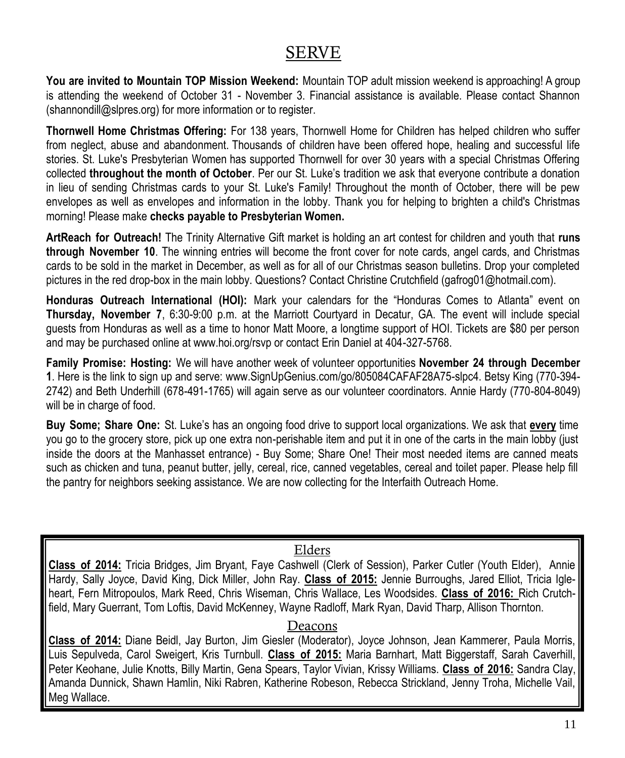### SERVE

**You are invited to Mountain TOP Mission Weekend:** Mountain TOP adult mission weekend is approaching! A group is attending the weekend of October 31 - November 3. Financial assistance is available. Please contact Shannon [\(shannondill@slpres.org\)](mailto:shannondill@slpres.org) for more information or to register.

**Thornwell Home Christmas Offering:** For 138 years, Thornwell Home for Children has helped children who suffer from neglect, abuse and abandonment. Thousands of children have been offered hope, healing and successful life stories. St. Luke's Presbyterian Women has supported Thornwell for over 30 years with a special Christmas Offering collected **throughout the month of October**. Per our St. Luke's tradition we ask that everyone contribute a donation in lieu of sending Christmas cards to your St. Luke's Family! Throughout the month of October, there will be pew envelopes as well as envelopes and information in the lobby. Thank you for helping to brighten a child's Christmas morning! Please make **checks payable to Presbyterian Women.** 

**ArtReach for Outreach!** The Trinity Alternative Gift market is holding an art contest for children and youth that **runs through November 10**. The winning entries will become the front cover for note cards, angel cards, and Christmas cards to be sold in the market in December, as well as for all of our Christmas season bulletins. Drop your completed pictures in the red drop-box in the main lobby. Questions? Contact Christine Crutchfield (gafrog01@hotmail.com).

**Honduras Outreach International (HOI):** Mark your calendars for the "Honduras Comes to Atlanta" event on **Thursday, November 7**, 6:30-9:00 p.m. at the Marriott Courtyard in Decatur, GA. The event will include special guests from Honduras as well as a time to honor Matt Moore, a longtime support of HOI. Tickets are \$80 per person and may be purchased online at www.hoi.org/rsvp or contact Erin Daniel at 404-327-5768.

**Family Promise: Hosting:** We will have another week of volunteer opportunities **November 24 through December 1**. Here is the link to sign up and serve: [www.SignUpGenius.com/go/805084CAFAF28A75-slpc4.](http://www.signupgenius.com/go/805084CAFAF28A75-slpc4) Betsy King (770-394- 2742) and Beth Underhill (678-491-1765) will again serve as our volunteer coordinators. Annie Hardy (770-804-8049) will be in charge of food.

**Buy Some; Share One:** St. Luke's has an ongoing food drive to support local organizations. We ask that **every** time you go to the grocery store, pick up one extra non-perishable item and put it in one of the carts in the main lobby (just inside the doors at the Manhasset entrance) - Buy Some; Share One! Their most needed items are canned meats such as chicken and tuna, peanut butter, jelly, cereal, rice, canned vegetables, cereal and toilet paper. Please help fill the pantry for neighbors seeking assistance. We are now collecting for the Interfaith Outreach Home.

#### Elders

**Class of 2014:** Tricia Bridges, Jim Bryant, Faye Cashwell (Clerk of Session), Parker Cutler (Youth Elder), Annie Hardy, Sally Joyce, David King, Dick Miller, John Ray. **Class of 2015:** Jennie Burroughs, Jared Elliot, Tricia Igleheart, Fern Mitropoulos, Mark Reed, Chris Wiseman, Chris Wallace, Les Woodsides. **Class of 2016:** Rich Crutchfield, Mary Guerrant, Tom Loftis, David McKenney, Wayne Radloff, Mark Ryan, David Tharp, Allison Thornton.

#### Deacons

**Class of 2014:** Diane Beidl, Jay Burton, Jim Giesler (Moderator), Joyce Johnson, Jean Kammerer, Paula Morris, Luis Sepulveda, Carol Sweigert, Kris Turnbull. **Class of 2015:** Maria Barnhart, Matt Biggerstaff, Sarah Caverhill, Peter Keohane, Julie Knotts, Billy Martin, Gena Spears, Taylor Vivian, Krissy Williams. **Class of 2016:** Sandra Clay, Amanda Dunnick, Shawn Hamlin, Niki Rabren, Katherine Robeson, Rebecca Strickland, Jenny Troha, Michelle Vail, Meg Wallace.